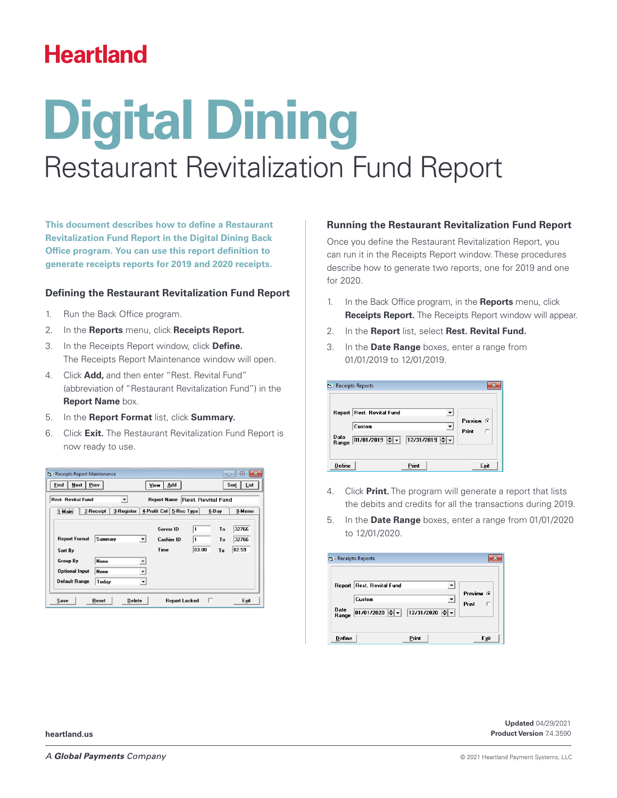## **Heartland**

# Restaurant Revitalization Fund Report **Digital Dining**

**This document describes how to define a Restaurant Revitalization Fund Report in the Digital Dining Back Office program. You can use this report definition to generate receipts reports for 2019 and 2020 receipts.**

#### **Defining the Restaurant Revitalization Fund Report**

- 1. Run the Back Office program.
- 2. In the **Reports** menu, click **Receipts Report.**
- 3. In the Receipts Report window, click **Define.** The Receipts Report Maintenance window will open.
- 4. Click **Add,** and then enter "Rest. Revital Fund" (abbreviation of "Restaurant Revitalization Fund") in the **Report Name** box.
- 5. In the **Report Format** list, click **Summary.**
- 6. Click **Exit.** The Restaurant Revitalization Fund Report is now ready to use.

| <b>B</b> Receipts Report Maintenance |                                  |                         |                          | $\Box$ | $\Box$<br>$\overline{\mathbf{x}}$ |
|--------------------------------------|----------------------------------|-------------------------|--------------------------|--------|-----------------------------------|
| <b>Next</b><br>Find                  | Prev                             | Add<br><b>View</b>      |                          |        | Sort<br>List                      |
| <b>Rest. Revital Fund</b>            |                                  | <b>Report Name</b>      | <b>Rest Revital Fund</b> |        |                                   |
| 1-Main                               | 3-Register<br>2-Receipt          | 4-Profit Cnt 5-Rec Type |                          | 6-Day  | 0-Memo                            |
|                                      |                                  | Server ID               | 11                       | To     | 32766                             |
| <b>Report Format</b>                 | Summary<br>$\blacktriangledown$  | <b>Cashier ID</b>       | 1                        | To     | 32766                             |
| Sort By                              |                                  | Time                    | 03:00                    | To     | 02:59                             |
| Group By                             | None<br>$\overline{\phantom{a}}$ |                         |                          |        |                                   |
| <b>Optional Input</b>                | <b>None</b><br>▼                 |                         |                          |        |                                   |
| <b>Default Range</b>                 | Today                            |                         |                          |        |                                   |
| Save                                 | <b>Delete</b><br>Reset           | <b>Report Locked</b>    | п                        |        | Exit                              |

#### **Running the Restaurant Revitalization Fund Report**

Once you define the Restaurant Revitalization Report, you can run it in the Receipts Report window. These procedures describe how to generate two reports, one for 2019 and one for 2020.

- 1. In the Back Office program, in the **Reports** menu, click **Receipts Report.** The Receipts Report window will appear.
- 2. In the **Report** list, select **Rest. Revital Fund.**
- 3. In the **Date Range** boxes, enter a range from 01/01/2019 to 12/01/2019.

|               | Report Rest. Revital Fund |                             |           |
|---------------|---------------------------|-----------------------------|-----------|
|               |                           |                             | Preview G |
|               | Custom                    |                             | Print     |
| Date<br>Range | 01/01/2019 $\leftarrow$ - | $\boxed{12/31/2019}$ $\div$ |           |

- 4. Click **Print.** The program will generate a report that lists the debits and credits for all the transactions during 2019.
- 5. In the **Date Range** boxes, enter a range from 01/01/2020 to 12/01/2020.

| Date<br> 01/01/2020 ≑ ▼   12/31/2020 ≑ ▼<br>Range |
|---------------------------------------------------|
|---------------------------------------------------|